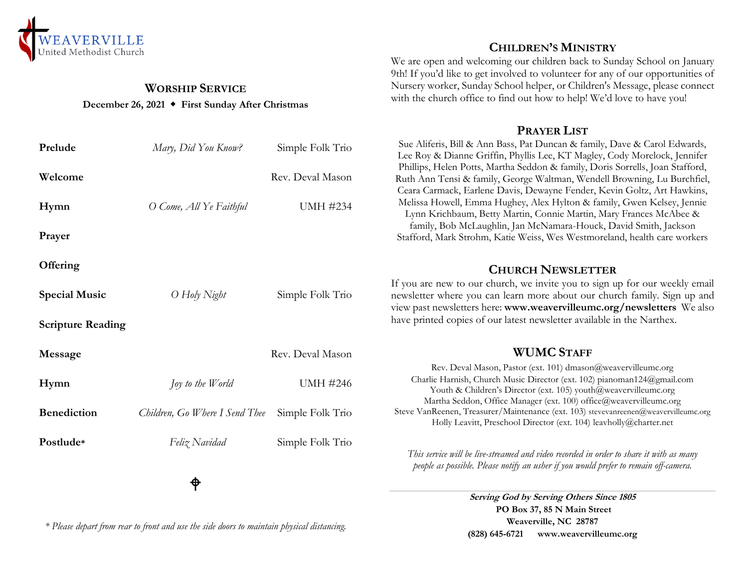

## **WORSHIP SERVICE December 26, 2021 First Sunday After Christmas**

| Prelude                  | Mary, Did You Know?            | Simple Folk Trio |
|--------------------------|--------------------------------|------------------|
| Welcome                  |                                | Rev. Deval Mason |
| Hymn                     | O Come, All Ye Faithful        | <b>UMH #234</b>  |
| Prayer                   |                                |                  |
| Offering                 |                                |                  |
| <b>Special Music</b>     | O Holy Night                   | Simple Folk Trio |
| <b>Scripture Reading</b> |                                |                  |
| Message                  |                                | Rev. Deval Mason |
| Hymn                     | Joy to the World               | <b>UMH #246</b>  |
| <b>Benediction</b>       | Children, Go Where I Send Thee | Simple Folk Trio |
| Postlude*                | Feliz Navidad                  | Simple Folk Trio |
|                          |                                |                  |

⊕

*\* Please depart from rear to front and use the side doors to maintain physical distancing.*

## **CHILDREN'S MINISTRY**

We are open and welcoming our children back to Sunday School on January 9th! If you'd like to get involved to volunteer for any of our opportunities of Nursery worker, Sunday School helper, or Children's Message, please connect with the church office to find out how to help! We'd love to have you!

#### **PRAYER LIST**

Sue Aliferis, Bill & Ann Bass, Pat Duncan & family, Dave & Carol Edwards, Lee Roy & Dianne Griffin, Phyllis Lee, KT Magley, Cody Morelock, Jennifer Phillips, Helen Potts, Martha Seddon & family, Doris Sorrells, Joan Stafford, Ruth Ann Tensi & family, George Waltman, Wendell Browning, Lu Burchfiel, Ceara Carmack, Earlene Davis, Dewayne Fender, Kevin Goltz, Art Hawkins, Melissa Howell, Emma Hughey, Alex Hylton & family, Gwen Kelsey, Jennie Lynn Krichbaum, Betty Martin, Connie Martin, Mary Frances McAbee & family, Bob McLaughlin, Jan McNamara-Houck, David Smith, Jackson Stafford, Mark Strohm, Katie Weiss, Wes Westmoreland, health care workers

## **CHURCH NEWSLETTER**

If you are new to our church, we invite you to sign up for our weekly email newsletter where you can learn more about our church family. Sign up and view past newsletters here: **www.weavervilleumc.org/newsletters** We also have printed copies of our latest newsletter available in the Narthex.

# **WUMC STAFF**

Rev. Deval Mason, Pastor (ext. 101) dmason@weavervilleumc.org Charlie Harnish, Church Music Director (ext. 102) pianoman124@gmail.com Youth & Children's Director (ext. 105) youth@weavervilleumc.org Martha Seddon, Office Manager (ext. 100) office@weavervilleumc.org Steve VanReenen, Treasurer/Maintenance (ext. 103) stevevanreenen@weavervilleumc.org Holly Leavitt, Preschool Director (ext. 104) leavholly@charter.net

*This service will be live-streamed and video recorded in order to share it with as many people as possible. Please notify an usher if you would prefer to remain off-camera.*

> **Serving God by Serving Others Since 1805 PO Box 37, 85 N Main Street Weaverville, NC 28787 (828) 645-6721 [www.weavervilleumc.org](http://www.weavervilleumc.org/)**